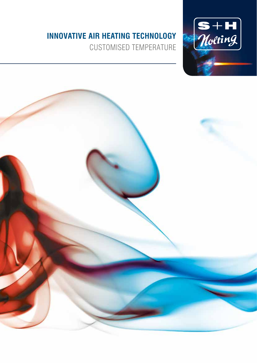#### **Innovative air heating technology**

Customised temperature



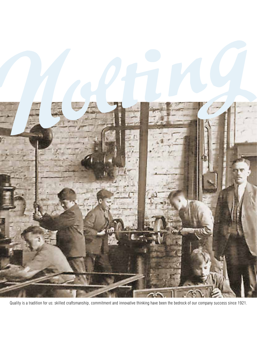

Quality is a tradition for us: skilled craftsmanship, commitment and innovative thinking have been the bedrock of our company success since 1921.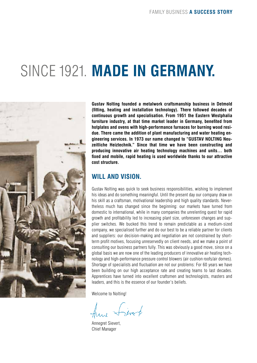#### SINCE 1921. MADE IN GERMANY.



**Gustav Nolting founded a metalwork craftsmanship business in Detmold (fitting, heating and installation technology). There followed decades of continuous growth and specialisation. From 1951 the Eastern Westphalia furniture industry, at that time market leader in Germany, benefited from hotplates and ovens with high-performance furnaces for burning wood residue. There came the addition of plant manufacturing and water heating engineering services. In 1973 our name changed to "GUSTAV NOLTING Neuzeitliche Heiztechnik." Since that time we have been constructing and producing innovative air heating technology machines and units… both fixed and mobile, rapid heating is used worldwide thanks to our attractive cost structure.**

#### **Will And Vision.**

Gustav Nolting was quick to seek business responsibilities, wishing to implement his ideas and do something meaningful. Until the present day our company draw on his skill as a craftsman, motivational leadership and high quality standards. Nevertheless much has changed since the beginning: our markets have turned from domestic to international, while in many companies the unrelenting quest for rapid growth and profitability led to increasing plant size, unforeseen changes and supplier switches. We bucked this trend to remain predictable as a medium-sized company, we specialised further and do our best to be a reliable partner for clients and suppliers: our decision-making and negotiation are not constrained by shortterm profit motives, focusing unreservedly on client needs, and we make a point of consulting our business partners fully. This was obviously a good move, since on a global basis we are now one of the leading producers of innovative air heating technology and high-performance pressure control blowers (air cushion roofs/air domes). Shortage of specialists and fluctuation are not our problems: For 60 years we have been building on our high acceptance rate and creating teams to last decades. Apprentices have turned into excellent craftsmen and technologists, masters and leaders, and this is the essence of our founder's beliefs.

Welcome to Nolting!

Anne Sivet

Annegret Sievert, Chief Manager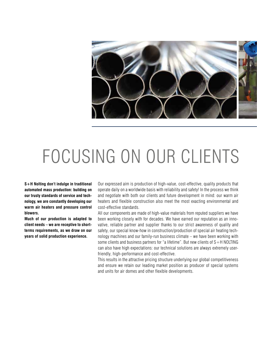

### FOCUSING ON OUR CLIENTS

**S+H Nolting don't indulge in traditional automated mass production: building on our trusty standards of service and technology, we are constantly developing our warm air heaters and pressure control blowers.** 

**Much of our production is adapted to client needs – we are receptive to shortterms requirements, as we draw on our years of solid production experience.**

Our expressed aim is production of high-value, cost-effective, quality products that operate daily on a worldwide basis with reliability and safety! In the process we think and negotiate with both our clients and future development in mind: our warm air heaters and flexible construction also meet the most exacting environmental and cost-effective standards.

All our components are made of high-value materials from reputed suppliers we have been working closely with for decades. We have earned our reputation as an innovative, reliable partner and supplier thanks to our strict awareness of quality and safety, our special know-how in construction/production of special air heating technology machines and our family-run business climate – we have been working with some clients and business partners for "a lifetime". But new clients of  $S + H$  NOLTING can also have high expectations: our technical solutions are always extremely userfriendly, high-performance and cost-effective.

This results in the attractive pricing structure underlying our global competitiveness and ensure we retain our leading market position as producer of special systems and units for air domes and other flexible developments.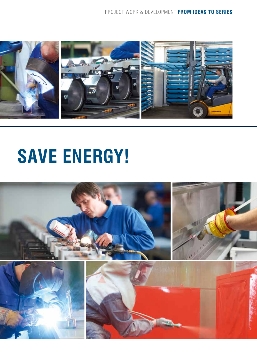

## **SAVE ENERGY!**

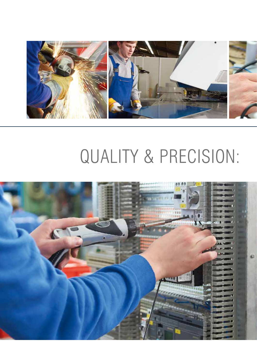

### QUALITY & PRECISION:

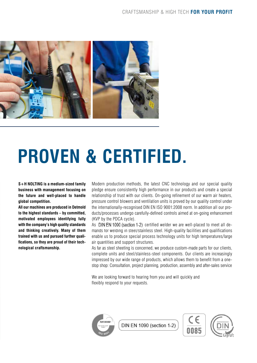

# **PROVEN & CERTIFIED.**

**S+H NOLTING is a medium-sized family business with management focusing on the future and well-placed to handle global competition.**

**All our machines are produced in Detmold to the highest standards – by committed, motivated employees identifying fully with the company's high quality standards and thinking creatively. Many of them trained with us and pursued further qualifications, so they are proud of their technological craftsmanship.**

Modern production methods, the latest CNC technology and our special quality pledge ensure consistently high performance in our products and create a special relationship of trust with our clients. On-going refinement of our warm air heaters, pressure control blowers and ventilation units is proved by our quality control under the internationally-recognised DIN EN ISO 9001:2008 norm. In addition all our products/processes undergo carefully-defined controls aimed at on-going enhancement (KVP by the PDCA cycle).

As DIN EN 1090 (section 1-2) certified welder we are well-placed to meet all demands for welding in steel/stainless steel. High-quality facilities and qualifications enable us to produce special process technology units for high temperatures/large air quantities and support structures.

As far as steel sheeting is concerned, we produce custom-made parts for our clients, complete units and steel/stainless-steel components. Our clients are increasingly impressed by our wide range of products, which allows them to benefit from a onestop shop: Consultation, project planning, production, assembly and after-sales service

We are looking forward to hearing from you and will quickly and flexibly respond to your requests.